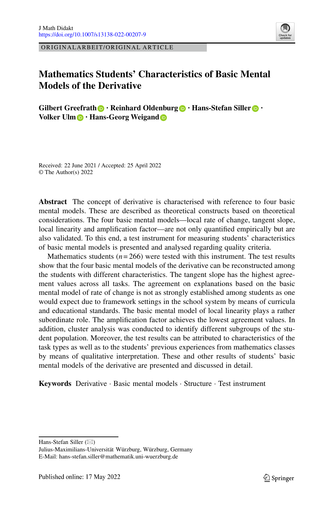ORIGINALARBEIT/ORIGINAL ARTICLE

# **Mathematics Students' Characteristics of Basic Mental Models of the Derivative**

**Gilbert Greefrath · Reinhard Oldenburg · Hans-Stefan Siller · Volker Ulm b** · Hans-Georg Weigand **b** 

Received: 22 June 2021 / Accepted: 25 April 2022 © The Author(s) 2022

**Abstract** The concept of derivative is characterised with reference to four basic mental models. These are described as theoretical constructs based on theoretical considerations. The four basic mental models—local rate of change, tangent slope, local linearity and amplification factor—are not only quantified empirically but are also validated. To this end, a test instrument for measuring students' characteristics of basic mental models is presented and analysed regarding quality criteria.

Mathematics students  $(n=266)$  were tested with this instrument. The test results show that the four basic mental models of the derivative can be reconstructed among the students with different characteristics. The tangent slope has the highest agreement values across all tasks. The agreement on explanations based on the basic mental model of rate of change is not as strongly established among students as one would expect due to framework settings in the school system by means of curricula and educational standards. The basic mental model of local linearity plays a rather subordinate role. The amplification factor achieves the lowest agreement values. In addition, cluster analysis was conducted to identify different subgroups of the student population. Moreover, the test results can be attributed to characteristics of the task types as well as to the students' previous experiences from mathematics classes by means of qualitative interpretation. These and other results of students' basic mental models of the derivative are presented and discussed in detail.

**Keywords** Derivative · Basic mental models · Structure · Test instrument

Hans-Stefan Siller ( $\boxtimes$ )

Julius-Maximilians-Universität Würzburg, Würzburg, Germany E-Mail: hans-stefan.siller@mathematik.uni-wuerzburg.de

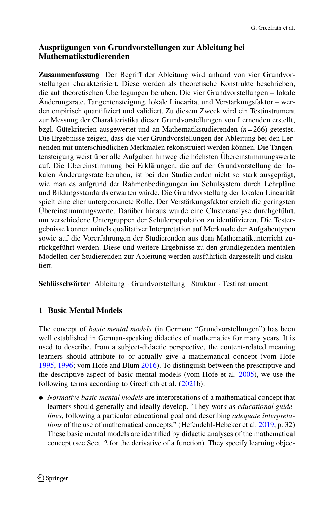## **Ausprägungen von Grundvorstellungen zur Ableitung bei Mathematikstudierenden**

**Zusammenfassung** Der Begriff der Ableitung wird anhand von vier Grundvorstellungen charakterisiert. Diese werden als theoretische Konstrukte beschrieben, die auf theoretischen Überlegungen beruhen. Die vier Grundvorstellungen – lokale Änderungsrate, Tangentensteigung, lokale Linearität und Verstärkungsfaktor – werden empirisch quantifiziert und validiert. Zu diesem Zweck wird ein Testinstrument zur Messung der Charakteristika dieser Grundvorstellungen von Lernenden erstellt, bzgl. Gütekriterien ausgewertet und an Mathematikstudierenden (*n*= 266) getestet. Die Ergebnisse zeigen, dass die vier Grundvorstellungen der Ableitung bei den Lernenden mit unterschiedlichen Merkmalen rekonstruiert werden können. Die Tangentensteigung weist über alle Aufgaben hinweg die höchsten Übereinstimmungswerte auf. Die Übereinstimmung bei Erklärungen, die auf der Grundvorstellung der lokalen Änderungsrate beruhen, ist bei den Studierenden nicht so stark ausgeprägt, wie man es aufgrund der Rahmenbedingungen im Schulsystem durch Lehrpläne und Bildungsstandards erwarten würde. Die Grundvorstellung der lokalen Linearität spielt eine eher untergeordnete Rolle. Der Verstärkungsfaktor erzielt die geringsten Übereinstimmungswerte. Darüber hinaus wurde eine Clusteranalyse durchgeführt, um verschiedene Untergruppen der Schülerpopulation zu identifizieren. Die Testergebnisse können mittels qualitativer Interpretation auf Merkmale der Aufgabentypen sowie auf die Vorerfahrungen der Studierenden aus dem Mathematikunterricht zurückgeführt werden. Diese und weitere Ergebnisse zu den grundlegenden mentalen Modellen der Studierenden zur Ableitung werden ausführlich dargestellt und diskutiert.

**Schlüsselwörter** Ableitung · Grundvorstellung · Struktur · Testinstrument

## **1 Basic Mental Models**

The concept of *basic mental models* (in German: "Grundvorstellungen") has been well established in German-speaking didactics of mathematics for many years. It is used to describe, from a subject-didactic perspective, the content-related meaning learners should attribute to or actually give a mathematical concept (vom Hofe [1995,](#page-24-0) [1996;](#page-24-1) vom Hofe and Blum [2016\)](#page-24-2). To distinguish between the prescriptive and the descriptive aspect of basic mental models (vom Hofe et al. [2005\)](#page-24-3), we use the following terms according to Greefrath et al. [\(2021b](#page-24-4)):

- *Normative basic mental models* are interpretations of a mathematical concept that learners should generally and ideally develop. "They work as *educational guidelines*, following a particular educational goal and describing *adequate interpretations* of the use of mathematical concepts." (Hefendehl-Hebeker et al. [2019,](#page-24-5) p. 32) These basic mental models are identified by didactic analyses of the mathematical concept (see Sect. 2 for the derivative of a function). They specify learning objec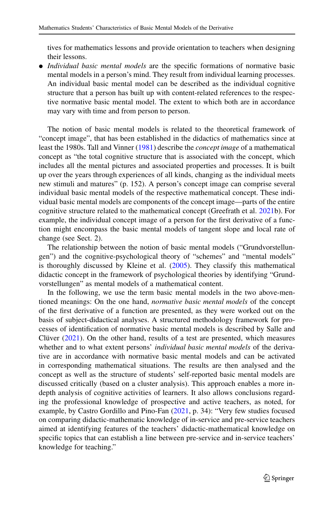tives for mathematics lessons and provide orientation to teachers when designing their lessons.

- *Individual basic mental models* are the specific formations of normative basic mental models in a person's mind. They result from individual learning processes. An individual basic mental model can be described as the individual cognitive structure that a person has built up with content-related references to the respective normative basic mental model. The extent to which both are in accordance may vary with time and from person to person.

The notion of basic mental models is related to the theoretical framework of "concept image", that has been established in the didactics of mathematics since at least the 1980s. Tall and Vinner [\(1981\)](#page-25-0) describe the *concept image* of a mathematical concept as "the total cognitive structure that is associated with the concept, which includes all the mental pictures and associated properties and processes. It is built up over the years through experiences of all kinds, changing as the individual meets new stimuli and matures" (p. 152). A person's concept image can comprise several individual basic mental models of the respective mathematical concept. These individual basic mental models are components of the concept image—parts of the entire cognitive structure related to the mathematical concept (Greefrath et al. [2021b](#page-24-4)). For example, the individual concept image of a person for the first derivative of a function might encompass the basic mental models of tangent slope and local rate of change (see Sect. 2).

The relationship between the notion of basic mental models ("Grundvorstellungen") and the cognitive-psychological theory of "schemes" and "mental models" is thoroughly discussed by Kleine et al. [\(2005\)](#page-24-6). They classify this mathematical didactic concept in the framework of psychological theories by identifying "Grundvorstellungen" as mental models of a mathematical content.

In the following, we use the term basic mental models in the two above-mentioned meanings: On the one hand, *normative basic mental models* of the concept of the first derivative of a function are presented, as they were worked out on the basis of subject-didactical analyses. A structured methodology framework for processes of identification of normative basic mental models is described by Salle and Clüver  $(2021)$ . On the other hand, results of a test are presented, which measures whether and to what extent persons' *individual basic mental models* of the derivative are in accordance with normative basic mental models and can be activated in corresponding mathematical situations. The results are then analysed and the concept as well as the structure of students' self-reported basic mental models are discussed critically (based on a cluster analysis). This approach enables a more indepth analysis of cognitive activities of learners. It also allows conclusions regarding the professional knowledge of prospective and active teachers, as noted, for example, by Castro Gordillo and Pino-Fan [\(2021,](#page-23-0) p. 34): "Very few studies focused on comparing didactic-mathematic knowledge of in-service and pre-service teachers aimed at identifying features of the teachers' didactic-mathematical knowledge on specific topics that can establish a line between pre-service and in-service teachers' knowledge for teaching."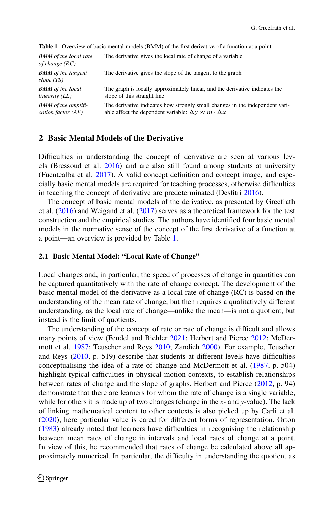| <b>BMM</b> of the local rate<br>of change (RC) | The derivative gives the local rate of change of a variable                  |
|------------------------------------------------|------------------------------------------------------------------------------|
| <b>BMM</b> of the tangent<br>slope $(TS)$      | The derivative gives the slope of the tangent to the graph                   |
| <b>BMM</b> of the local                        | The graph is locally approximately linear, and the derivative indicates the  |
| linearity (LL)                                 | slope of this straight line                                                  |
| <b>BMM</b> of the amplifi-                     | The derivative indicates how strongly small changes in the independent vari- |
| cation factor $(AF)$                           | able affect the dependent variable: $\Delta y \approx m \cdot \Delta x$      |

<span id="page-3-0"></span>**Table 1** Overview of basic mental models (BMM) of the first derivative of a function at a point

### **2 Basic Mental Models of the Derivative**

Difficulties in understanding the concept of derivative are seen at various levels (Bressoud et al. [2016\)](#page-23-1) and are also still found among students at university (Fuentealba et al. [2017\)](#page-24-7). A valid concept definition and concept image, and especially basic mental models are required for teaching processes, otherwise difficulties in teaching the concept of derivative are predeterminated (Desfitri [2016\)](#page-24-8).

The concept of basic mental models of the derivative, as presented by Greefrath et al. [\(2016\)](#page-24-9) and Weigand et al. [\(2017\)](#page-26-0) serves as a theoretical framework for the test construction and the empirical studies. The authors have identified four basic mental models in the normative sense of the concept of the first derivative of a function at a point—an overview is provided by Table [1.](#page-3-0)

#### **2.1 Basic Mental Model: "Local Rate of Change"**

Local changes and, in particular, the speed of processes of change in quantities can be captured quantitatively with the rate of change concept. The development of the basic mental model of the derivative as a local rate of change (RC) is based on the understanding of the mean rate of change, but then requires a qualitatively different understanding, as the local rate of change—unlike the mean—is not a quotient, but instead is the limit of quotients.

The understanding of the concept of rate or rate of change is difficult and allows many points of view (Feudel and Biehler [2021;](#page-24-10) Herbert and Pierce [2012;](#page-24-11) McDermott et al. [1987;](#page-25-2) Teuscher and Reys [2010;](#page-25-3) Zandieh [2000\)](#page-26-1). For example, Teuscher and Reys [\(2010,](#page-25-3) p. 519) describe that students at different levels have difficulties conceptualising the idea of a rate of change and McDermott et al. [\(1987,](#page-25-2) p. 504) highlight typical difficulties in physical motion contexts, to establish relationships between rates of change and the slope of graphs. Herbert and Pierce [\(2012,](#page-24-11) p. 94) demonstrate that there are learners for whom the rate of change is a single variable, while for others it is made up of two changes (change in the *x-* and *y*-value). The lack of linking mathematical content to other contexts is also picked up by Carli et al. [\(2020\)](#page-23-2); here particular value is cared for different forms of representation. Orton [\(1983\)](#page-25-4) already noted that learners have difficulties in recognising the relationship between mean rates of change in intervals and local rates of change at a point. In view of this, he recommended that rates of change be calculated above all approximately numerical. In particular, the difficulty in understanding the quotient as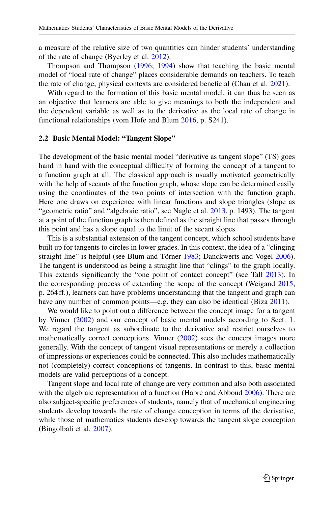a measure of the relative size of two quantities can hinder students' understanding of the rate of change (Byerley et al. [2012\)](#page-23-3).

Thompson and Thompson [\(1996;](#page-25-5) [1994\)](#page-25-6) show that teaching the basic mental model of "local rate of change" places considerable demands on teachers. To teach the rate of change, physical contexts are considered beneficial (Chau et al. [2021\)](#page-23-4).

With regard to the formation of this basic mental model, it can thus be seen as an objective that learners are able to give meanings to both the independent and the dependent variable as well as to the derivative as the local rate of change in functional relationships (vom Hofe and Blum [2016,](#page-24-2) p. S241).

#### **2.2 Basic Mental Model: "Tangent Slope"**

The development of the basic mental model "derivative as tangent slope" (TS) goes hand in hand with the conceptual difficulty of forming the concept of a tangent to a function graph at all. The classical approach is usually motivated geometrically with the help of secants of the function graph, whose slope can be determined easily using the coordinates of the two points of intersection with the function graph. Here one draws on experience with linear functions and slope triangles (slope as "geometric ratio" and "algebraic ratio", see Nagle et al. [2013,](#page-25-7) p. 1493). The tangent at a point of the function graph is then defined as the straight line that passes through this point and has a slope equal to the limit of the secant slopes.

This is a substantial extension of the tangent concept, which school students have built up for tangents to circles in lower grades. In this context, the idea of a "clinging straight line" is helpful (see Blum and Törner [1983;](#page-23-5) Danckwerts and Vogel [2006\)](#page-23-6). The tangent is understood as being a straight line that "clings" to the graph locally. This extends significantly the "one point of contact concept" (see Tall [2013\)](#page-25-8). In the corresponding process of extending the scope of the concept (Weigand [2015,](#page-26-2) p. 264 ff.), learners can have problems understanding that the tangent and graph can have any number of common points—e.g. they can also be identical (Biza [2011\)](#page-23-7).

We would like to point out a difference between the concept image for a tangent by Vinner [\(2002\)](#page-25-9) and our concept of basic mental models according to Sect. 1. We regard the tangent as subordinate to the derivative and restrict ourselves to mathematically correct conceptions. Vinner [\(2002\)](#page-25-9) sees the concept images more generally. With the concept of tangent visual representations or merely a collection of impressions or experiences could be connected. This also includes mathematically not (completely) correct conceptions of tangents. In contrast to this, basic mental models are valid perceptions of a concept.

Tangent slope and local rate of change are very common and also both associated with the algebraic representation of a function (Habre and Abboud [2006\)](#page-24-12). There are also subject-specific preferences of students, namely that of mechanical engineering students develop towards the rate of change conception in terms of the derivative, while those of mathematics students develop towards the tangent slope conception (Bingolbali et al. [2007\)](#page-23-8).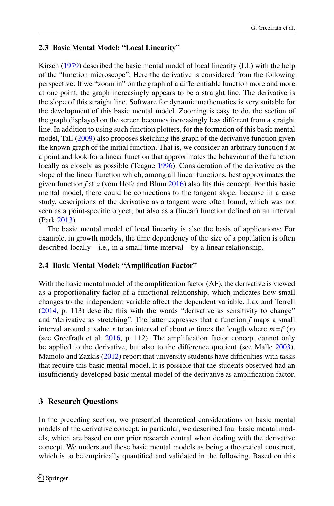## **2.3 Basic Mental Model: "Local Linearity"**

Kirsch [\(1979\)](#page-24-13) described the basic mental model of local linearity (LL) with the help of the "function microscope". Here the derivative is considered from the following perspective: If we "zoom in" on the graph of a differentiable function more and more at one point, the graph increasingly appears to be a straight line. The derivative is the slope of this straight line. Software for dynamic mathematics is very suitable for the development of this basic mental model. Zooming is easy to do, the section of the graph displayed on the screen becomes increasingly less different from a straight line. In addition to using such function plotters, for the formation of this basic mental model, Tall [\(2009\)](#page-25-10) also proposes sketching the graph of the derivative function given the known graph of the initial function. That is, we consider an arbitrary function f at a point and look for a linear function that approximates the behaviour of the function locally as closely as possible (Teague [1996\)](#page-25-11). Consideration of the derivative as the slope of the linear function which, among all linear functions, best approximates the given function *f* at *x* (vom Hofe and Blum [2016\)](#page-24-2) also fits this concept. For this basic mental model, there could be connections to the tangent slope, because in a case study, descriptions of the derivative as a tangent were often found, which was not seen as a point-specific object, but also as a (linear) function defined on an interval (Park [2013\)](#page-25-12).

The basic mental model of local linearity is also the basis of applications: For example, in growth models, the time dependency of the size of a population is often described locally—i.e., in a small time interval—by a linear relationship.

### **2.4 Basic Mental Model: "Amplification Factor"**

With the basic mental model of the amplification factor (AF), the derivative is viewed as a proportionality factor of a functional relationship, which indicates how small changes to the independent variable affect the dependent variable. Lax and Terrell [\(2014,](#page-25-13) p. 113) describe this with the words "derivative as sensitivity to change" and "derivative as stretching". The latter expresses that a function *f* maps a small interval around a value x to an interval of about m times the length where  $m = f'(x)$ (see Greefrath et al. [2016,](#page-24-9) p. 112). The amplification factor concept cannot only be applied to the derivative, but also to the difference quotient (see Malle [2003\)](#page-25-14). Mamolo and Zazkis [\(2012\)](#page-25-15) report that university students have difficulties with tasks that require this basic mental model. It is possible that the students observed had an insufficiently developed basic mental model of the derivative as amplification factor.

## **3 Research Questions**

In the preceding section, we presented theoretical considerations on basic mental models of the derivative concept; in particular, we described four basic mental models, which are based on our prior research central when dealing with the derivative concept. We understand these basic mental models as being a theoretical construct, which is to be empirically quantified and validated in the following. Based on this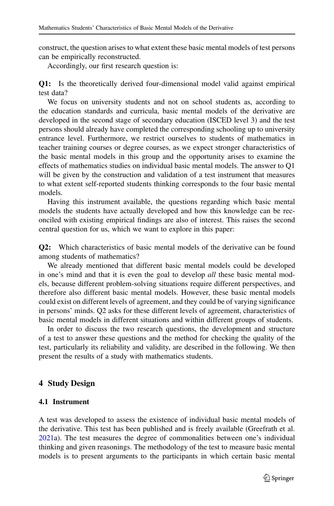construct, the question arises to what extent these basic mental models of test persons can be empirically reconstructed.

Accordingly, our first research question is:

**Q1:** Is the theoretically derived four-dimensional model valid against empirical test data?

We focus on university students and not on school students as, according to the education standards and curricula, basic mental models of the derivative are developed in the second stage of secondary education (ISCED level 3) and the test persons should already have completed the corresponding schooling up to university entrance level. Furthermore, we restrict ourselves to students of mathematics in teacher training courses or degree courses, as we expect stronger characteristics of the basic mental models in this group and the opportunity arises to examine the effects of mathematics studies on individual basic mental models. The answer to Q1 will be given by the construction and validation of a test instrument that measures to what extent self-reported students thinking corresponds to the four basic mental models.

Having this instrument available, the questions regarding which basic mental models the students have actually developed and how this knowledge can be reconciled with existing empirical findings are also of interest. This raises the second central question for us, which we want to explore in this paper:

**Q2:** Which characteristics of basic mental models of the derivative can be found among students of mathematics?

We already mentioned that different basic mental models could be developed in one's mind and that it is even the goal to develop *all* these basic mental models, because different problem-solving situations require different perspectives, and therefore also different basic mental models. However, these basic mental models could exist on different levels of agreement, and they could be of varying significance in persons' minds. Q2 asks for these different levels of agreement, characteristics of basic mental models in different situations and within different groups of students.

In order to discuss the two research questions, the development and structure of a test to answer these questions and the method for checking the quality of the test, particularly its reliability and validity, are described in the following. We then present the results of a study with mathematics students.

#### **4 Study Design**

### **4.1 Instrument**

A test was developed to assess the existence of individual basic mental models of the derivative. This test has been published and is freely available (Greefrath et al. [2021a](#page-24-14)). The test measures the degree of commonalities between one's individual thinking and given reasonings. The methodology of the test to measure basic mental models is to present arguments to the participants in which certain basic mental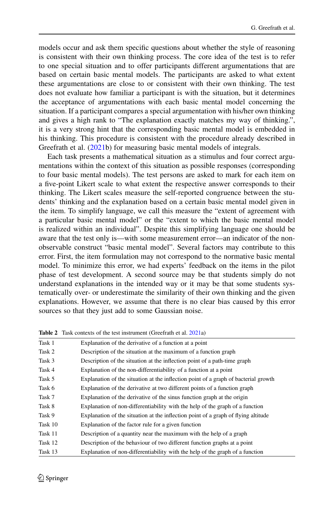models occur and ask them specific questions about whether the style of reasoning is consistent with their own thinking process. The core idea of the test is to refer to one special situation and to offer participants different argumentations that are based on certain basic mental models. The participants are asked to what extent these argumentations are close to or consistent with their own thinking. The test does not evaluate how familiar a participant is with the situation, but it determines the acceptance of argumentations with each basic mental model concerning the situation. If a participant compares a special argumentation with his/her own thinking and gives a high rank to "The explanation exactly matches my way of thinking.", it is a very strong hint that the corresponding basic mental model is embedded in his thinking. This procedure is consistent with the procedure already described in Greefrath et al. [\(2021b](#page-24-4)) for measuring basic mental models of integrals.

Each task presents a mathematical situation as a stimulus and four correct argumentations within the context of this situation as possible responses (corresponding to four basic mental models). The test persons are asked to mark for each item on a five-point Likert scale to what extent the respective answer corresponds to their thinking. The Likert scales measure the self-reported congruence between the students' thinking and the explanation based on a certain basic mental model given in the item. To simplify language, we call this measure the "extent of agreement with a particular basic mental model" or the "extent to which the basic mental model is realized within an individual". Despite this simplifying language one should be aware that the test only is—with some measurement error—an indicator of the nonobservable construct "basic mental model". Several factors may contribute to this error. First, the item formulation may not correspond to the normative basic mental model. To minimize this error, we had experts' feedback on the items in the pilot phase of test development. A second source may be that students simply do not understand explanations in the intended way or it may be that some students systematically over- or underestimate the similarity of their own thinking and the given explanations. However, we assume that there is no clear bias caused by this error sources so that they just add to some Gaussian noise.

| Task 1  | Explanation of the derivative of a function at a point                              |
|---------|-------------------------------------------------------------------------------------|
| Task 2  | Description of the situation at the maximum of a function graph                     |
| Task 3  | Description of the situation at the inflection point of a path-time graph           |
| Task 4  | Explanation of the non-differentiability of a function at a point                   |
| Task 5  | Explanation of the situation at the inflection point of a graph of bacterial growth |
| Task 6  | Explanation of the derivative at two different points of a function graph           |
| Task 7  | Explanation of the derivative of the sinus function graph at the origin             |
| Task 8  | Explanation of non-differentiability with the help of the graph of a function       |
| Task 9  | Explanation of the situation at the inflection point of a graph of flying altitude  |
| Task 10 | Explanation of the factor rule for a given function                                 |
| Task 11 | Description of a quantity near the maximum with the help of a graph                 |
| Task 12 | Description of the behaviour of two different function graphs at a point            |
| Task 13 | Explanation of non-differentiability with the help of the graph of a function       |

<span id="page-7-0"></span>**Table 2** Task contexts of the test instrument (Greefrath et al. [2021a](#page-24-14))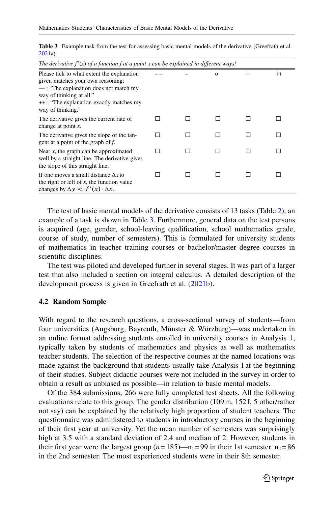| The derivative $f'(x)$ of a function f at a point x can be explained in different ways!                                                                                                                                 |  |  |          |        |         |  |
|-------------------------------------------------------------------------------------------------------------------------------------------------------------------------------------------------------------------------|--|--|----------|--------|---------|--|
| Please tick to what extent the explanation<br>given matches your own reasoning:<br>$-$ : "The explanation does not match my<br>way of thinking at all."<br>++: "The explanation exactly matches my<br>way of thinking." |  |  | $\Omega$ | $^{+}$ | $^{++}$ |  |
| The derivative gives the current rate of<br>change at point $x$ .                                                                                                                                                       |  |  |          |        |         |  |
| The derivative gives the slope of the tan-<br>gent at a point of the graph of f.                                                                                                                                        |  |  |          |        |         |  |
| Near $x$ , the graph can be approximated<br>well by a straight line. The derivative gives<br>the slope of this straight line.                                                                                           |  |  |          |        |         |  |
| If one moves a small distance $\Delta x$ to<br>the right or left of $x$ , the function value<br>changes by $\Delta y \approx f'(x) \cdot \Delta x$ .                                                                    |  |  |          |        |         |  |

<span id="page-8-0"></span>**Table 3** Example task from the test for assessing basic mental models of the derivative (Greefrath et al. [2021a](#page-24-14))

The test of basic mental models of the derivative consists of 13 tasks (Table [2\)](#page-7-0), an example of a task is shown in Table [3.](#page-8-0) Furthermore, general data on the test persons is acquired (age, gender, school-leaving qualification, school mathematics grade, course of study, number of semesters). This is formulated for university students of mathematics in teacher training courses or bachelor/master degree courses in scientific disciplines.

The test was piloted and developed further in several stages. It was part of a larger test that also included a section on integral calculus. A detailed description of the development process is given in Greefrath et al.  $(2021b)$  $(2021b)$ .

#### **4.2 Random Sample**

With regard to the research questions, a cross-sectional survey of students—from four universities (Augsburg, Bayreuth, Münster & Würzburg)—was undertaken in an online format addressing students enrolled in university courses in Analysis 1, typically taken by students of mathematics and physics as well as mathematics teacher students. The selection of the respective courses at the named locations was made against the background that students usually take Analysis 1 at the beginning of their studies. Subject didactic courses were not included in the survey in order to obtain a result as unbiased as possible—in relation to basic mental models.

Of the 384 submissions, 266 were fully completed test sheets. All the following evaluations relate to this group. The gender distribution (109 m, 152 f, 5 other/rather not say) can be explained by the relatively high proportion of student teachers. The questionnaire was administered to students in introductory courses in the beginning of their first year at university. Yet the mean number of semesters was surprisingly high at 3.5 with a standard deviation of 2.4 and median of 2. However, students in their first year were the largest group  $(n = 185)$ —n<sub>1</sub> = 99 in their 1st semester, n<sub>2</sub> = 86 in the 2nd semester. The most experienced students were in their 8th semester.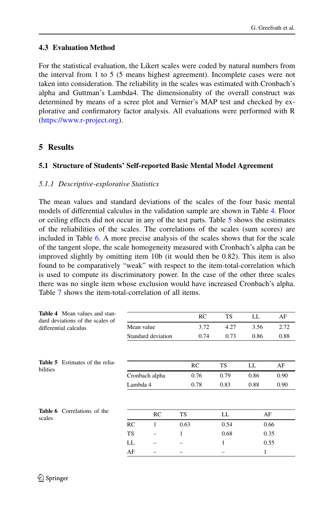## **4.3 Evaluation Method**

For the statistical evaluation, the Likert scales were coded by natural numbers from the interval from 1 to 5 (5 means highest agreement). Incomplete cases were not taken into consideration. The reliability in the scales was estimated with Cronbach's alpha and Guttman's Lambda4. The dimensionality of the overall construct was determined by means of a scree plot and Vernier's MAP test and checked by explorative and confirmatory factor analysis. All evaluations were performed with R [\(https://www.r-project.org\)](https://www.r-project.org).

## **5 Results**

## **5.1 Structure of Students' Self-reported Basic Mental Model Agreement**

### *5.1.1 Descriptive-explorative Statistics*

The mean values and standard deviations of the scales of the four basic mental models of differential calculus in the validation sample are shown in Table [4.](#page-9-0) Floor or ceiling effects did not occur in any of the test parts. Table [5](#page-9-1) shows the estimates of the reliabilities of the scales. The correlations of the scales (sum scores) are included in Table [6.](#page-9-2) A more precise analysis of the scales shows that for the scale of the tangent slope, the scale homogeneity measured with Cronbach's alpha can be improved slightly by omitting item 10b (it would then be 0.82). This item is also found to be comparatively "weak" with respect to the item-total-correlation which is used to compute its discriminatory power. In the case of the other three scales there was no single item whose exclusion would have increased Cronbach's alpha. Table [7](#page-10-0) shows the item-total-correlation of all items.

<span id="page-9-2"></span><span id="page-9-1"></span><span id="page-9-0"></span>

| <b>Table 4</b> Mean values and stan-   |                    |      | RC   | <b>TS</b> | LL   | AF   |
|----------------------------------------|--------------------|------|------|-----------|------|------|
| dard deviations of the scales of       |                    |      |      |           |      |      |
| differential calculus                  | Mean value         |      | 3.72 | 4.27      | 3.56 | 2.72 |
|                                        | Standard deviation |      | 0.74 | 0.73      | 0.86 | 0.88 |
|                                        |                    |      |      |           |      |      |
| <b>Table 5</b> Estimates of the relia- |                    |      | RC   | TS        | LL   | AF   |
| bilities                               | Cronbach alpha     |      | 0.76 | 0.79      | 0.86 | 0.90 |
|                                        | Lambda 4           |      | 0.78 | 0.83      | 0.88 | 0.90 |
|                                        |                    |      |      |           |      |      |
| <b>Table 6</b> Correlations of the     |                    |      |      |           |      |      |
| scales                                 | RC                 | TS   |      | LL        | AF   |      |
|                                        | RC<br>1            | 0.63 |      | 0.54      | 0.66 |      |
|                                        | <b>TS</b>          | 1    |      | 0.68      | 0.35 |      |
|                                        | LL                 |      |      | 1         | 0.55 |      |
|                                        | AF                 |      |      |           | 1    |      |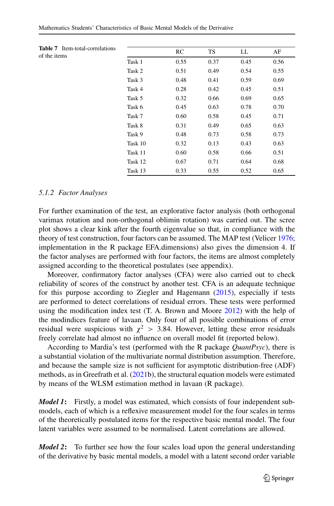<span id="page-10-0"></span>

| <b>Table 7</b> Item-total-correlations<br>of the items |         | RC   | TS   | LL   | AF   |
|--------------------------------------------------------|---------|------|------|------|------|
|                                                        | Task 1  | 0.55 | 0.37 | 0.45 | 0.56 |
|                                                        | Task 2  | 0.51 | 0.49 | 0.54 | 0.55 |
|                                                        | Task 3  | 0.48 | 0.41 | 0.59 | 0.69 |
|                                                        | Task 4  | 0.28 | 0.42 | 0.45 | 0.51 |
|                                                        | Task 5  | 0.32 | 0.66 | 0.69 | 0.65 |
|                                                        | Task 6  | 0.45 | 0.63 | 0.78 | 0.70 |
|                                                        | Task 7  | 0.60 | 0.58 | 0.45 | 0.71 |
|                                                        | Task 8  | 0.31 | 0.49 | 0.65 | 0.63 |
|                                                        | Task 9  | 0.48 | 0.73 | 0.58 | 0.73 |
|                                                        | Task 10 | 0.32 | 0.13 | 0.43 | 0.63 |
|                                                        | Task 11 | 0.60 | 0.58 | 0.66 | 0.51 |
|                                                        | Task 12 | 0.67 | 0.71 | 0.64 | 0.68 |
|                                                        | Task 13 | 0.33 | 0.55 | 0.52 | 0.65 |

#### *5.1.2 Factor Analyses*

For further examination of the test, an explorative factor analysis (both orthogonal varimax rotation and non-orthogonal oblimin rotation) was carried out. The scree plot shows a clear kink after the fourth eigenvalue so that, in compliance with the theory of test construction, four factors can be assumed. The MAP test (Velicer [1976;](#page-25-16) implementation in the R package EFA.dimensions) also gives the dimension 4. If the factor analyses are performed with four factors, the items are almost completely assigned according to the theoretical postulates (see appendix).

Moreover, confirmatory factor analyses (CFA) were also carried out to check reliability of scores of the construct by another test. CFA is an adequate technique for this purpose according to Ziegler and Hagemann [\(2015\)](#page-26-3), especially if tests are performed to detect correlations of residual errors. These tests were performed using the modification index test  $(T. A. Brown and Moore 2012)$  $(T. A. Brown and Moore 2012)$  with the help of the modindices feature of lavaan. Only four of all possible combinations of error residual were suspicious with  $\chi^2 > 3.84$ . However, letting these error residuals freely correlate had almost no influence on overall model fit (reported below) freely correlate had almost no influence on overall model fit (reported below).

According to Mardia's test (performed with the R package *QuantPsyc*), there is a substantial violation of the multivariate normal distribution assumption. Therefore, and because the sample size is not sufficient for asymptotic distribution-free (ADF) methods, as in Greefrath et al.  $(2021b)$  $(2021b)$ , the structural equation models were estimated by means of the WLSM estimation method in lavaan (R package).

*Model 1***:** Firstly, a model was estimated, which consists of four independent submodels, each of which is a reflexive measurement model for the four scales in terms of the theoretically postulated items for the respective basic mental model. The four latent variables were assumed to be normalised. Latent correlations are allowed.

*Model 2***:** To further see how the four scales load upon the general understanding of the derivative by basic mental models, a model with a latent second order variable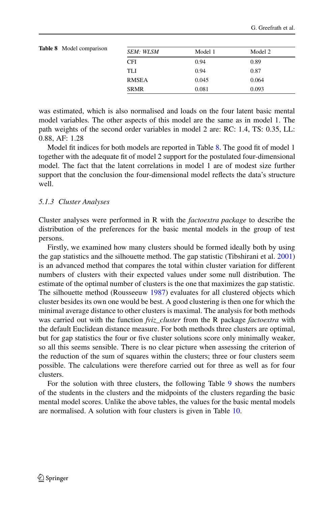<span id="page-11-0"></span>

| <b>Table 8</b> Model comparison | <b>SEM: WLSM</b> | Model 1 | Model 2 |  |
|---------------------------------|------------------|---------|---------|--|
|                                 | <b>CFI</b>       | 0.94    | 0.89    |  |
|                                 | TLI              | 0.94    | 0.87    |  |
|                                 | <b>RMSEA</b>     | 0.045   | 0.064   |  |
|                                 | <b>SRMR</b>      | 0.081   | 0.093   |  |

was estimated, which is also normalised and loads on the four latent basic mental model variables. The other aspects of this model are the same as in model 1. The path weights of the second order variables in model 2 are: RC: 1.4, TS: 0.35, LL: 0.88, AF: 1.28

Model fit indices for both models are reported in Table [8.](#page-11-0) The good fit of model 1 together with the adequate fit of model 2 support for the postulated four-dimensional model. The fact that the latent correlations in model 1 are of modest size further support that the conclusion the four-dimensional model reflects the data's structure well.

#### *5.1.3 Cluster Analyses*

Cluster analyses were performed in R with the *factoextra package* to describe the distribution of the preferences for the basic mental models in the group of test persons.

Firstly, we examined how many clusters should be formed ideally both by using the gap statistics and the silhouette method. The gap statistic (Tibshirani et al. [2001\)](#page-25-17) is an advanced method that compares the total within cluster variation for different numbers of clusters with their expected values under some null distribution. The estimate of the optimal number of clusters is the one that maximizes the gap statistic. The silhouette method (Rousseeuw [1987\)](#page-25-18) evaluates for all clustered objects which cluster besides its own one would be best. A good clustering is then one for which the minimal average distance to other clusters is maximal. The analysis for both methods was carried out with the function *fviz\_cluster* from the R package *factoextra* with the default Euclidean distance measure. For both methods three clusters are optimal, but for gap statistics the four or five cluster solutions score only minimally weaker, so all this seems sensible. There is no clear picture when assessing the criterion of the reduction of the sum of squares within the clusters; three or four clusters seem possible. The calculations were therefore carried out for three as well as for four clusters.

For the solution with three clusters, the following Table [9](#page-12-0) shows the numbers of the students in the clusters and the midpoints of the clusters regarding the basic mental model scores. Unlike the above tables, the values for the basic mental models are normalised. A solution with four clusters is given in Table [10.](#page-12-1)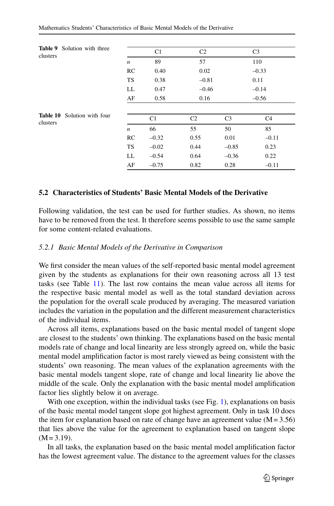<span id="page-12-0"></span>

|          | <b>Table 9</b> Solution with three |                  |                |                |                |                |
|----------|------------------------------------|------------------|----------------|----------------|----------------|----------------|
| clusters |                                    |                  | C <sub>1</sub> | C <sub>2</sub> |                | C <sub>3</sub> |
|          |                                    | $\boldsymbol{n}$ | 89             | 57             |                | 110            |
|          |                                    | RC               | 0.40           | 0.02           |                | $-0.33$        |
|          |                                    | <b>TS</b>        | 0.38           | $-0.81$        |                | 0.11           |
|          | LL                                 | 0.47             | $-0.46$        |                | $-0.14$        |                |
|          | AF                                 | 0.58             | 0.16           |                | $-0.56$        |                |
|          |                                    |                  |                |                |                |                |
| clusters | Table 10 Solution with four        |                  | C1             | C <sub>2</sub> | C <sub>3</sub> | C <sub>4</sub> |
|          |                                    | $\boldsymbol{n}$ | 66             | 55             | 50             | 85             |
|          |                                    | RC               | $-0.32$        | 0.55           | 0.01           | $-0.11$        |
|          |                                    | <b>TS</b>        | $-0.02$        | 0.44           | $-0.85$        | 0.23           |
|          |                                    | LL               | $-0.54$        | 0.64           | $-0.36$        | 0.22           |
|          |                                    | AF               | $-0.75$        | 0.82           | 0.28           | $-0.11$        |

#### <span id="page-12-1"></span>**5.2 Characteristics of Students' Basic Mental Models of the Derivative**

Following validation, the test can be used for further studies. As shown, no items have to be removed from the test. It therefore seems possible to use the same sample for some content-related evaluations.

#### *5.2.1 Basic Mental Models of the Derivative in Comparison*

We first consider the mean values of the self-reported basic mental model agreement given by the students as explanations for their own reasoning across all 13 test tasks (see Table [11\)](#page-13-0). The last row contains the mean value across all items for the respective basic mental model as well as the total standard deviation across the population for the overall scale produced by averaging. The measured variation includes the variation in the population and the different measurement characteristics of the individual items.

Across all items, explanations based on the basic mental model of tangent slope are closest to the students' own thinking. The explanations based on the basic mental models rate of change and local linearity are less strongly agreed on, while the basic mental model amplification factor is most rarely viewed as being consistent with the students' own reasoning. The mean values of the explanation agreements with the basic mental models tangent slope, rate of change and local linearity lie above the middle of the scale. Only the explanation with the basic mental model amplification factor lies slightly below it on average.

With one exception, within the individual tasks (see Fig. [1\)](#page-13-1), explanations on basis of the basic mental model tangent slope got highest agreement. Only in task 10 does the item for explanation based on rate of change have an agreement value  $(M = 3.56)$ that lies above the value for the agreement to explanation based on tangent slope  $(M = 3.19)$ .

In all tasks, the explanation based on the basic mental model amplification factor has the lowest agreement value. The distance to the agreement values for the classes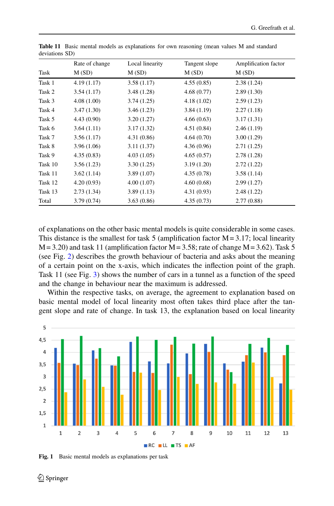<span id="page-13-0"></span>

|         | Rate of change | Local linearity | Tangent slope | Amplification factor |
|---------|----------------|-----------------|---------------|----------------------|
| Task    | M(SD)          | M(SD)           | M(SD)         | M(SD)                |
| Task 1  | 4.19(1.17)     | 3.58(1.17)      | 4.55(0.85)    | 2.38(1.24)           |
| Task 2  | 3.54(1.17)     | 3.48(1.28)      | 4.68(0.77)    | 2.89(1.30)           |
| Task 3  | 4.08(1.00)     | 3.74(1.25)      | 4.18(1.02)    | 2.59(1.23)           |
| Task 4  | 3.47(1.30)     | 3.46(1.23)      | 3.84(1.19)    | 2.27(1.18)           |
| Task 5  | 4.43(0.90)     | 3.20(1.27)      | 4.66(0.63)    | 3.17(1.31)           |
| Task 6  | 3.64(1.11)     | 3.17(1.32)      | 4.51(0.84)    | 2.46(1.19)           |
| Task 7  | 3.56(1.17)     | 4.31(0.86)      | 4.64(0.70)    | 3.00(1.29)           |
| Task 8  | 3.96(1.06)     | 3.11(1.37)      | 4.36(0.96)    | 2.71(1.25)           |
| Task 9  | 4.35(0.83)     | 4.03(1.05)      | 4.65(0.57)    | 2.78(1.28)           |
| Task 10 | 3.56(1.23)     | 3.30(1.25)      | 3.19(1.20)    | 2.72(1.22)           |
| Task 11 | 3.62(1.14)     | 3.89(1.07)      | 4.35(0.78)    | 3.58(1.14)           |
| Task 12 | 4.20(0.93)     | 4.00(1.07)      | 4.60(0.68)    | 2.99(1.27)           |
| Task 13 | 2.73(1.34)     | 3.89(1.13)      | 4.31(0.93)    | 2.48(1.22)           |
| Total   | 3.79(0.74)     | 3.63(0.86)      | 4.35(0.73)    | 2.77(0.88)           |

**Table 11** Basic mental models as explanations for own reasoning (mean values M and standard deviations SD)

of explanations on the other basic mental models is quite considerable in some cases. This distance is the smallest for task 5 (amplification factor  $M = 3.17$ ; local linearity  $M = 3.20$ ) and task 11 (amplification factor  $M = 3.58$ ; rate of change  $M = 3.62$ ). Task 5 (see Fig. [2\)](#page-14-0) describes the growth behaviour of bacteria and asks about the meaning of a certain point on the x-axis, which indicates the inflection point of the graph. Task 11 (see Fig. [3\)](#page-14-1) shows the number of cars in a tunnel as a function of the speed and the change in behaviour near the maximum is addressed.

Within the respective tasks, on average, the agreement to explanation based on basic mental model of local linearity most often takes third place after the tangent slope and rate of change. In task 13, the explanation based on local linearity



<span id="page-13-1"></span>**Fig. 1** Basic mental models as explanations per task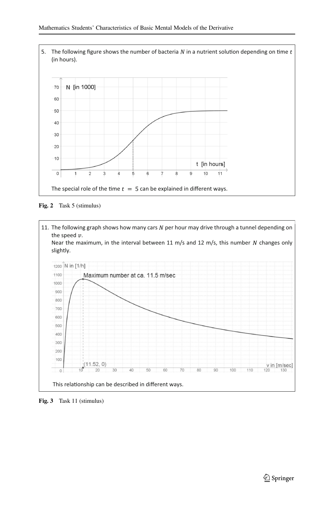

<span id="page-14-0"></span>**Fig. 2** Task 5 (stimulus)



<span id="page-14-1"></span>**Fig. 3** Task 11 (stimulus)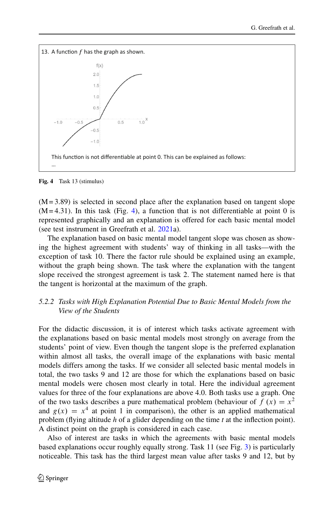

<span id="page-15-0"></span>**Fig. 4** Task 13 (stimulus)

 $(M = 3.89)$  is selected in second place after the explanation based on tangent slope  $(M = 4.31)$ . In this task (Fig. [4\)](#page-15-0), a function that is not differentiable at point 0 is represented graphically and an explanation is offered for each basic mental model (see test instrument in Greefrath et al. [2021a](#page-24-14)).

The explanation based on basic mental model tangent slope was chosen as showing the highest agreement with students' way of thinking in all tasks—with the exception of task 10. There the factor rule should be explained using an example, without the graph being shown. The task where the explanation with the tangent slope received the strongest agreement is task 2. The statement named here is that the tangent is horizontal at the maximum of the graph.

## *5.2.2 Tasks with High Explanation Potential Due to Basic Mental Models from the View of the Students*

For the didactic discussion, it is of interest which tasks activate agreement with the explanations based on basic mental models most strongly on average from the students' point of view. Even though the tangent slope is the preferred explanation within almost all tasks, the overall image of the explanations with basic mental models differs among the tasks. If we consider all selected basic mental models in total, the two tasks 9 and 12 are those for which the explanations based on basic mental models were chosen most clearly in total. Here the individual agreement values for three of the four explanations are above 4.0. Both tasks use a graph. One of the two tasks describes a pure mathematical problem (behaviour of  $f(x) = x^2$ ) and  $g(x) = x<sup>4</sup>$  at point 1 in comparison), the other is an applied mathematical problem (flying altitude *h* of a glider depending on the time *t* at the inflection point). A distinct point on the graph is considered in each case.

Also of interest are tasks in which the agreements with basic mental models based explanations occur roughly equally strong. Task 11 (see Fig. [3\)](#page-14-1) is particularly noticeable. This task has the third largest mean value after tasks 9 and 12, but by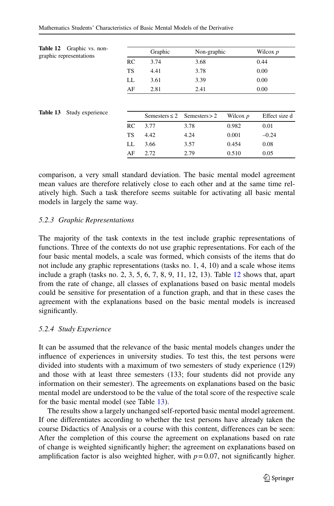<span id="page-16-0"></span>

| Graphic vs. non-<br>Table 12<br>graphic representations |           | Graphic            | Non-graphic      |            | Wilcox $p$    |
|---------------------------------------------------------|-----------|--------------------|------------------|------------|---------------|
|                                                         | RC        | 3.74               | 3.68             |            | 0.44          |
|                                                         | <b>TS</b> | 4.41               | 3.78             |            | 0.00          |
|                                                         | LL        | 3.61               | 3.39             |            | 0.00          |
|                                                         | AF        | 2.81               | 2.41             |            | 0.00          |
| Table 13<br>Study experience                            |           | Semesters $\leq 2$ | $S$ emesters > 2 | Wilcox $p$ | Effect size d |
|                                                         | RC        | 3.77               | 3.78             | 0.982      | 0.01          |
|                                                         | TS        | 4.42               | 4.24             | 0.001      | $-0.24$       |
|                                                         | LL        | 3.66               | 3.57             | 0.454      | 0.08          |
|                                                         | AF        | 2.72               | 2.79             | 0.510      | 0.05          |

<span id="page-16-1"></span>comparison, a very small standard deviation. The basic mental model agreement mean values are therefore relatively close to each other and at the same time relatively high. Such a task therefore seems suitable for activating all basic mental models in largely the same way.

#### *5.2.3 Graphic Representations*

The majority of the task contexts in the test include graphic representations of functions. Three of the contexts do not use graphic representations. For each of the four basic mental models, a scale was formed, which consists of the items that do not include any graphic representations (tasks no. 1, 4, 10) and a scale whose items include a graph (tasks no. 2, 3, 5, 6, 7, 8, 9, 11, 12, 13). Table [12](#page-16-0) shows that, apart from the rate of change, all classes of explanations based on basic mental models could be sensitive for presentation of a function graph, and that in these cases the agreement with the explanations based on the basic mental models is increased significantly.

#### *5.2.4 Study Experience*

It can be assumed that the relevance of the basic mental models changes under the influence of experiences in university studies. To test this, the test persons were divided into students with a maximum of two semesters of study experience (129) and those with at least three semesters (133; four students did not provide any information on their semester). The agreements on explanations based on the basic mental model are understood to be the value of the total score of the respective scale for the basic mental model (see Table [13\)](#page-16-1).

The results show a largely unchanged self-reported basic mental model agreement. If one differentiates according to whether the test persons have already taken the course Didactics of Analysis or a course with this content, differences can be seen: After the completion of this course the agreement on explanations based on rate of change is weighted significantly higher; the agreement on explanations based on amplification factor is also weighted higher, with  $p = 0.07$ , not significantly higher.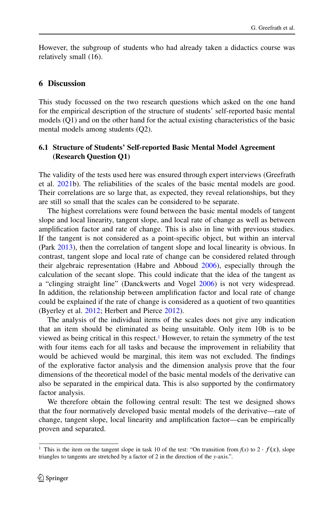However, the subgroup of students who had already taken a didactics course was relatively small (16).

#### **6 Discussion**

This study focussed on the two research questions which asked on the one hand for the empirical description of the structure of students' self-reported basic mental models (Q1) and on the other hand for the actual existing characteristics of the basic mental models among students (Q2).

### **6.1 Structure of Students' Self-reported Basic Mental Model Agreement (Research Question Q1)**

The validity of the tests used here was ensured through expert interviews (Greefrath et al. [2021b](#page-24-4)). The reliabilities of the scales of the basic mental models are good. Their correlations are so large that, as expected, they reveal relationships, but they are still so small that the scales can be considered to be separate.

The highest correlations were found between the basic mental models of tangent slope and local linearity, tangent slope, and local rate of change as well as between amplification factor and rate of change. This is also in line with previous studies. If the tangent is not considered as a point-specific object, but within an interval (Park [2013\)](#page-25-12), then the correlation of tangent slope and local linearity is obvious. In contrast, tangent slope and local rate of change can be considered related through their algebraic representation (Habre and Abboud [2006\)](#page-24-12), especially through the calculation of the secant slope. This could indicate that the idea of the tangent as a "clinging straight line" (Danckwerts and Vogel [2006\)](#page-23-6) is not very widespread. In addition, the relationship between amplification factor and local rate of change could be explained if the rate of change is considered as a quotient of two quantities (Byerley et al. [2012;](#page-23-3) Herbert and Pierce [2012\)](#page-24-11).

The analysis of the individual items of the scales does not give any indication that an item should be eliminated as being unsuitable. Only item 10b is to be viewed as being critical in this respect[.1](#page-17-0) However, to retain the symmetry of the test with four items each for all tasks and because the improvement in reliability that would be achieved would be marginal, this item was not excluded. The findings of the explorative factor analysis and the dimension analysis prove that the four dimensions of the theoretical model of the basic mental models of the derivative can also be separated in the empirical data. This is also supported by the confirmatory factor analysis.

We therefore obtain the following central result: The test we designed shows that the four normatively developed basic mental models of the derivative—rate of change, tangent slope, local linearity and amplification factor—can be empirically proven and separated.

<span id="page-17-0"></span><sup>&</sup>lt;sup>1</sup> This is the item on the tangent slope in task 10 of the test: "On transition from  $f(x)$  to 2  $\cdot$   $f(x)$ , slope triangles to tangents are stretched by a factor of 2 in the direction of the *y*-axis.".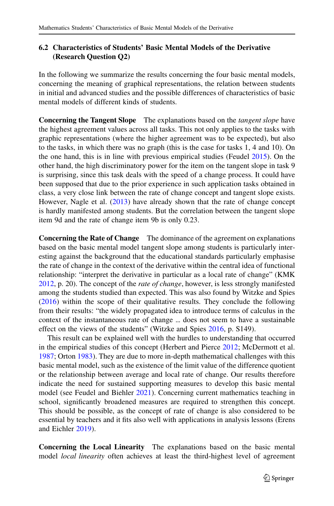## **6.2 Characteristics of Students' Basic Mental Models of the Derivative (Research Question Q2)**

In the following we summarize the results concerning the four basic mental models, concerning the meaning of graphical representations, the relation between students in initial and advanced studies and the possible differences of characteristics of basic mental models of different kinds of students.

**Concerning the Tangent Slope** The explanations based on the *tangent slope* have the highest agreement values across all tasks. This not only applies to the tasks with graphic representations (where the higher agreement was to be expected), but also to the tasks, in which there was no graph (this is the case for tasks 1, 4 and 10). On the one hand, this is in line with previous empirical studies (Feudel [2015\)](#page-24-15). On the other hand, the high discriminatory power for the item on the tangent slope in task 9 is surprising, since this task deals with the speed of a change process. It could have been supposed that due to the prior experience in such application tasks obtained in class, a very close link between the rate of change concept and tangent slope exists. However, Nagle et al. [\(2013\)](#page-25-7) have already shown that the rate of change concept is hardly manifested among students. But the correlation between the tangent slope item 9d and the rate of change item 9b is only 0.23.

**Concerning the Rate of Change** The dominance of the agreement on explanations based on the basic mental model tangent slope among students is particularly interesting against the background that the educational standards particularly emphasise the rate of change in the context of the derivative within the central idea of functional relationship: "interpret the derivative in particular as a local rate of change" (KMK [2012,](#page-25-19) p. 20). The concept of the *rate of change*, however, is less strongly manifested among the students studied than expected. This was also found by Witzke and Spies [\(2016\)](#page-26-4) within the scope of their qualitative results. They conclude the following from their results: "the widely propagated idea to introduce terms of calculus in the context of the instantaneous rate of change ... does not seem to have a sustainable effect on the views of the students" (Witzke and Spies [2016,](#page-26-4) p. S149).

This result can be explained well with the hurdles to understanding that occurred in the empirical studies of this concept (Herbert and Pierce [2012;](#page-24-11) McDermott et al. [1987;](#page-25-2) Orton [1983\)](#page-25-4). They are due to more in-depth mathematical challenges with this basic mental model, such as the existence of the limit value of the difference quotient or the relationship between average and local rate of change. Our results therefore indicate the need for sustained supporting measures to develop this basic mental model (see Feudel and Biehler [2021\)](#page-24-10). Concerning current mathematics teaching in school, significantly broadened measures are required to strengthen this concept. This should be possible, as the concept of rate of change is also considered to be essential by teachers and it fits also well with applications in analysis lessons (Erens and Eichler [2019\)](#page-24-16).

**Concerning the Local Linearity** The explanations based on the basic mental model *local linearity* often achieves at least the third-highest level of agreement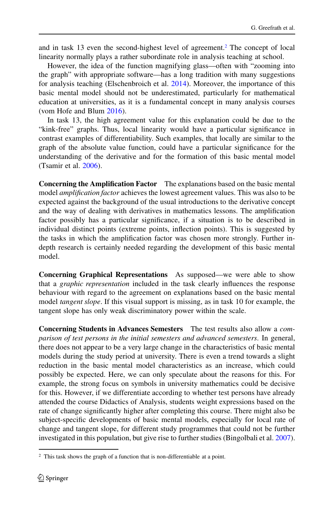and in task 13 even the second-highest level of agreement[.2](#page-19-0) The concept of local linearity normally plays a rather subordinate role in analysis teaching at school.

However, the idea of the function magnifying glass—often with "zooming into the graph" with appropriate software—has a long tradition with many suggestions for analysis teaching (Elschenbroich et al. [2014\)](#page-24-17). Moreover, the importance of this basic mental model should not be underestimated, particularly for mathematical education at universities, as it is a fundamental concept in many analysis courses (vom Hofe and Blum [2016\)](#page-24-2).

In task 13, the high agreement value for this explanation could be due to the "kink-free" graphs. Thus, local linearity would have a particular significance in contrast examples of differentiability. Such examples, that locally are similar to the graph of the absolute value function, could have a particular significance for the understanding of the derivative and for the formation of this basic mental model (Tsamir et al. [2006\)](#page-25-20).

**Concerning the Amplification Factor** The explanations based on the basic mental model *amplification factor* achieves the lowest agreement values. This was also to be expected against the background of the usual introductions to the derivative concept and the way of dealing with derivatives in mathematics lessons. The amplification factor possibly has a particular significance, if a situation is to be described in individual distinct points (extreme points, inflection points). This is suggested by the tasks in which the amplification factor was chosen more strongly. Further indepth research is certainly needed regarding the development of this basic mental model.

**Concerning Graphical Representations** As supposed—we were able to show that a *graphic representation* included in the task clearly influences the response behaviour with regard to the agreement on explanations based on the basic mental model *tangent slope*. If this visual support is missing, as in task 10 for example, the tangent slope has only weak discriminatory power within the scale.

**Concerning Students in Advances Semesters** The test results also allow a *comparison of test persons in the initial semesters and advanced semesters*. In general, there does not appear to be a very large change in the characteristics of basic mental models during the study period at university. There is even a trend towards a slight reduction in the basic mental model characteristics as an increase, which could possibly be expected. Here, we can only speculate about the reasons for this. For example, the strong focus on symbols in university mathematics could be decisive for this. However, if we differentiate according to whether test persons have already attended the course Didactics of Analysis, students weight expressions based on the rate of change significantly higher after completing this course. There might also be subject-specific developments of basic mental models, especially for local rate of change and tangent slope, for different study programmes that could not be further investigated in this population, but give rise to further studies (Bingolbali et al. [2007\)](#page-23-8).

<span id="page-19-0"></span><sup>&</sup>lt;sup>2</sup> This task shows the graph of a function that is non-differentiable at a point.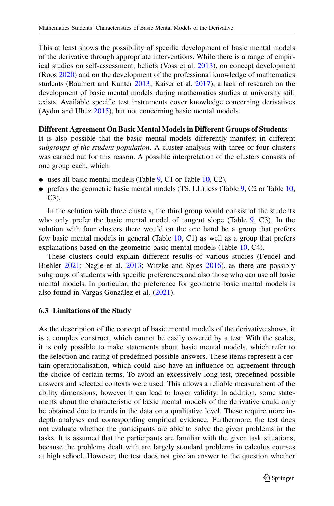This at least shows the possibility of specific development of basic mental models of the derivative through appropriate interventions. While there is a range of empirical studies on self-assessment, beliefs (Voss et al. [2013\)](#page-25-21), on concept development (Roos [2020\)](#page-25-22) and on the development of the professional knowledge of mathematics students (Baumert and Kunter [2013;](#page-23-10) Kaiser et al. [2017\)](#page-24-18), a lack of research on the development of basic mental models during mathematics studies at university still exists. Available specific test instruments cover knowledge concerning derivatives (Aydın and Ubuz [2015\)](#page-23-11), but not concerning basic mental models.

#### **Different Agreement On Basic Mental Models in Different Groups of Students**

It is also possible that the basic mental models differently manifest in different *subgroups of the student population*. A cluster analysis with three or four clusters was carried out for this reason. A possible interpretation of the clusters consists of one group each, which

- $\bullet$  uses all basic mental models (Table  $9$ , C1 or Table [10,](#page-12-1) C2),
- prefers the geometric basic mental models (TS, LL) less (Table [9,](#page-12-0) C2 or Table [10,](#page-12-1) C3).

In the solution with three clusters, the third group would consist of the students who only prefer the basic mental model of tangent slope (Table [9,](#page-12-0) C3). In the solution with four clusters there would on the one hand be a group that prefers few basic mental models in general (Table  $10$ , C1) as well as a group that prefers explanations based on the geometric basic mental models (Table [10,](#page-12-1) C4).

These clusters could explain different results of various studies (Feudel and Biehler [2021;](#page-24-10) Nagle et al. [2013;](#page-25-7) Witzke and Spies [2016\)](#page-26-4), as there are possibly subgroups of students with specific preferences and also those who can use all basic mental models. In particular, the preference for geometric basic mental models is also found in Vargas González et al. [\(2021\)](#page-25-23).

#### **6.3 Limitations of the Study**

As the description of the concept of basic mental models of the derivative shows, it is a complex construct, which cannot be easily covered by a test. With the scales, it is only possible to make statements about basic mental models, which refer to the selection and rating of predefined possible answers. These items represent a certain operationalisation, which could also have an influence on agreement through the choice of certain terms. To avoid an excessively long test, predefined possible answers and selected contexts were used. This allows a reliable measurement of the ability dimensions, however it can lead to lower validity. In addition, some statements about the characteristic of basic mental models of the derivative could only be obtained due to trends in the data on a qualitative level. These require more indepth analyses and corresponding empirical evidence. Furthermore, the test does not evaluate whether the participants are able to solve the given problems in the tasks. It is assumed that the participants are familiar with the given task situations, because the problems dealt with are largely standard problems in calculus courses at high school. However, the test does not give an answer to the question whether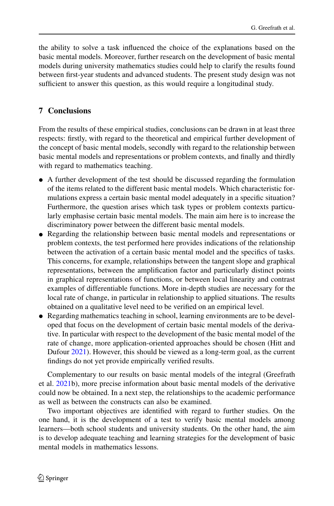the ability to solve a task influenced the choice of the explanations based on the basic mental models. Moreover, further research on the development of basic mental models during university mathematics studies could help to clarify the results found between first-year students and advanced students. The present study design was not sufficient to answer this question, as this would require a longitudinal study.

# **7 Conclusions**

From the results of these empirical studies, conclusions can be drawn in at least three respects: firstly, with regard to the theoretical and empirical further development of the concept of basic mental models, secondly with regard to the relationship between basic mental models and representations or problem contexts, and finally and thirdly with regard to mathematics teaching.

- A further development of the test should be discussed regarding the formulation of the items related to the different basic mental models. Which characteristic formulations express a certain basic mental model adequately in a specific situation? Furthermore, the question arises which task types or problem contexts particularly emphasise certain basic mental models. The main aim here is to increase the discriminatory power between the different basic mental models.
- Regarding the relationship between basic mental models and representations or problem contexts, the test performed here provides indications of the relationship between the activation of a certain basic mental model and the specifics of tasks. This concerns, for example, relationships between the tangent slope and graphical representations, between the amplification factor and particularly distinct points in graphical representations of functions, or between local linearity and contrast examples of differentiable functions. More in-depth studies are necessary for the local rate of change, in particular in relationship to applied situations. The results obtained on a qualitative level need to be verified on an empirical level.
- Regarding mathematics teaching in school, learning environments are to be developed that focus on the development of certain basic mental models of the derivative. In particular with respect to the development of the basic mental model of the rate of change, more application-oriented approaches should be chosen (Hitt and Dufour [2021\)](#page-24-19). However, this should be viewed as a long-term goal, as the current findings do not yet provide empirically verified results.

Complementary to our results on basic mental models of the integral (Greefrath et al. [2021b](#page-24-4)), more precise information about basic mental models of the derivative could now be obtained. In a next step, the relationships to the academic performance as well as between the constructs can also be examined.

Two important objectives are identified with regard to further studies. On the one hand, it is the development of a test to verify basic mental models among learners—both school students and university students. On the other hand, the aim is to develop adequate teaching and learning strategies for the development of basic mental models in mathematics lessons.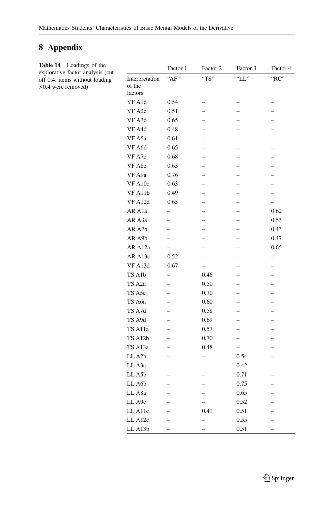# **8 Appendix**

**Table 14** Loadings of the explorative factor analysis (cut off 0.4; items without loading > 0.4 were removed)

|                     | Factor 1                 | Factor 2                 | Factor 3                 | Factor 4                 |
|---------------------|--------------------------|--------------------------|--------------------------|--------------------------|
| Interpretation      | "AF"                     | "TS"                     | " $LL$ "                 | "RC"                     |
| of the              |                          |                          |                          |                          |
| factors             |                          |                          |                          |                          |
| VF A1d              | 0.54                     |                          |                          |                          |
| VF A2c              | 0.51                     |                          |                          |                          |
| VF A3d              | 0.65                     |                          |                          |                          |
| VF A4d              | 0.48                     |                          |                          |                          |
| VF A5a              | 0.61                     |                          |                          |                          |
| VF A6d              | 0.65                     |                          |                          |                          |
| VF A7c              | 0.68                     |                          |                          |                          |
| VF A8c              | 0.63                     |                          |                          |                          |
| VF A9a              | 0.76                     |                          |                          |                          |
| VF A10c             | 0.63                     |                          |                          |                          |
| VF A11b             | 0.49                     |                          |                          | $\overline{\phantom{0}}$ |
| VF A12d             | 0.65                     |                          | $\overline{\phantom{0}}$ | $\qquad \qquad -$        |
| AR A1a              |                          |                          |                          | 0.62                     |
| AR A3a              | $\overline{\phantom{0}}$ |                          |                          | 0.53                     |
| AR A7b              | $\overline{\phantom{0}}$ |                          | $\overline{a}$           | 0.43                     |
| AR A9b              |                          |                          |                          | 0.47                     |
| AR A12a             | $\overline{a}$           |                          | $\overline{\phantom{0}}$ | 0.65                     |
| AR A13c             | 0.52                     |                          |                          | $\overline{\phantom{0}}$ |
| VF A13d             | 0.67                     | $\overline{\phantom{0}}$ |                          |                          |
| TS A1b              | $\overline{a}$           | 0.46                     |                          |                          |
| TS A2a              |                          | 0.50                     |                          |                          |
| TS A5c              |                          | 0.70                     |                          |                          |
| TS A6a              |                          | 0.60                     |                          |                          |
| TS A7d              | $\overline{\phantom{0}}$ | 0.58                     | $\overline{\phantom{0}}$ | $\overline{\phantom{0}}$ |
| TS A9d              |                          | 0.69                     |                          |                          |
| TS A11a             |                          | 0.57                     |                          |                          |
| TS A12b             | $\overline{\phantom{0}}$ | 0.70                     | $\overline{\phantom{0}}$ |                          |
| TS A13a             |                          | 0.48                     |                          |                          |
| LL A <sub>2</sub> b | $\overline{\phantom{0}}$ | $\qquad \qquad -$        | 0.54                     |                          |
| LL A3c              | $\overline{\phantom{0}}$ |                          | 0.42                     |                          |
| LL A5b              |                          |                          | 0.71                     |                          |
| LL A6b              |                          |                          | 0.75                     |                          |
| LL A8a              | -                        |                          | 0.65                     | $\overline{\phantom{0}}$ |
| LL A9c              |                          |                          | 0.52                     |                          |
| LL A11c             |                          | 0.41                     | 0.51                     |                          |
| LL A12c             | $\overline{\phantom{0}}$ | $\overline{\phantom{0}}$ | 0.55                     | $\overline{\phantom{0}}$ |
| LL A13b             |                          |                          | 0.51                     |                          |
|                     |                          |                          |                          |                          |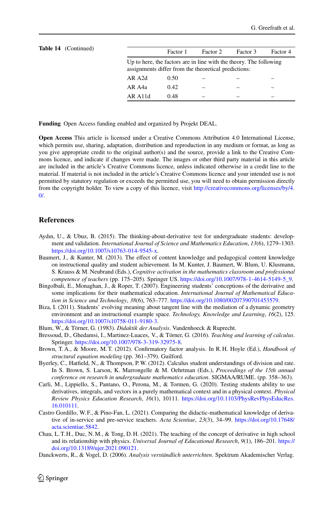| <b>Table 14</b> (Continued) |                          | Factor 1                                                                                                                   | Factor 2 | Factor 3 | Factor 4 |  |  |  |
|-----------------------------|--------------------------|----------------------------------------------------------------------------------------------------------------------------|----------|----------|----------|--|--|--|
|                             |                          | Up to here, the factors are in line with the theory. The following<br>assignments differ from the theoretical predictions: |          |          |          |  |  |  |
|                             | AR A2d                   | 0.50                                                                                                                       |          |          |          |  |  |  |
|                             | AR A4a                   | 0.42                                                                                                                       |          |          |          |  |  |  |
|                             | $AR$ A <sub>11</sub> $d$ | 0.48                                                                                                                       |          |          |          |  |  |  |
|                             |                          |                                                                                                                            |          |          |          |  |  |  |

**Funding** Open Access funding enabled and organized by Projekt DEAL.

**Open Access** This article is licensed under a Creative Commons Attribution 4.0 International License, which permits use, sharing, adaptation, distribution and reproduction in any medium or format, as long as you give appropriate credit to the original author(s) and the source, provide a link to the Creative Commons licence, and indicate if changes were made. The images or other third party material in this article are included in the article's Creative Commons licence, unless indicated otherwise in a credit line to the material. If material is not included in the article's Creative Commons licence and your intended use is not permitted by statutory regulation or exceeds the permitted use, you will need to obtain permission directly from the copyright holder. To view a copy of this licence, visit [http://creativecommons.org/licenses/by/4.](http://creativecommons.org/licenses/by/4.0/)  $\Omega$ 

#### **References**

- <span id="page-23-11"></span>Aydın, U., & Ubuz, B. (2015). The thinking-about-derivative test for undergraduate students: development and validation. *International Journal of Science and Mathematics Education*, *13*(6), 1279–1303. [https://doi.org/10.1007/s10763-014-9545-x.](https://doi.org/10.1007/s10763-014-9545-x)
- <span id="page-23-10"></span>Baumert, J., & Kunter, M. (2013). The effect of content knowledge and pedagogical content knowledge on instructional quality and student achievement. In M. Kunter, J. Baumert, W. Blum, U. Klusmann, S. Krauss & M. Neubrand (Eds.), *Cognitive activation in the mathematics classroom and professional competence of teachers* (pp. 175–205). Springer US. [https://doi.org/10.1007/978-1-4614-5149-5\\_9.](https://doi.org/10.1007/978-1-4614-5149-5_9)
- <span id="page-23-8"></span>Bingolbali, E., Monaghan, J., & Roper, T. (2007). Engineering students' conceptions of the derivative and some implications for their mathematical education. *International Journal of Mathematical Education in Science and Technology*, *38*(6), 763–777. [https://doi.org/10.1080/00207390701453579.](https://doi.org/10.1080/00207390701453579)
- <span id="page-23-7"></span>Biza, I. (2011). Students' evolving meaning about tangent line with the mediation of a dynamic geometry environment and an instructional example space. *Technology, Knowledge and Learning*, *16*(2), 125. [https://doi.org/10.1007/s10758-011-9180-3.](https://doi.org/10.1007/s10758-011-9180-3)
- <span id="page-23-5"></span><span id="page-23-1"></span>Blum, W., & Törner, G. (1983). *Didaktik der Analysis*. Vandenhoeck & Ruprecht.
- Bressoud, D., Ghedamsi, I., Martinez-Luaces, V., & Törner, G. (2016). *Teaching and learning of calculus*. Springer. [https://doi.org/10.1007/978-3-319-32975-8.](https://doi.org/10.1007/978-3-319-32975-8)
- <span id="page-23-9"></span>Brown, T. A., & Moore, M. T. (2012). Confirmatory factor analysis. In R. H. Hoyle (Ed.), *Handbook of structural equation modeling* (pp. 361–379). Guilford.
- <span id="page-23-3"></span>Byerley, C., Hatfield, N., & Thompson, P.W. (2012). Calculus student understandings of division and rate. In S. Brown, S. Larson, K. Marrongelle & M. Oehrtman (Eds.), *Proceedings of the 15th annual conference on research in undergraduate mathematics education*. SIGMAA/RUME. (pp. 358–363).
- <span id="page-23-2"></span>Carli, M., Lippiello, S., Pantano, O., Perona, M., & Tormen, G. (2020). Testing students ability to use derivatives, integrals, and vectors in a purely mathematical context and in a physical context. *Physical Review Physics Education Research*, *16*(1), 10111. [https://doi.org/10.1103/PhysRevPhysEducRes.](https://doi.org/10.1103/PhysRevPhysEducRes.16.010111) [16.010111.](https://doi.org/10.1103/PhysRevPhysEducRes.16.010111)
- <span id="page-23-0"></span>Castro Gordillo, W. F., & Pino-Fan, L. (2021). Comparing the didactic-mathematical knowledge of derivative of in-service and pre-service teachers. *Acta Scientiae*, *23*(3), 34–99. [https://doi.org/10.17648/](https://doi.org/10.17648/acta.scientiae.5842) [acta.scientiae.5842.](https://doi.org/10.17648/acta.scientiae.5842)
- <span id="page-23-4"></span>Chau, L. T. H., Duc, N.M., & Tong, D. H. (2021). The teaching of the concept of derivative in high school and its relationship with physics. *Universal Journal of Educational Research*, *9*(1), 186–201. [https://](https://doi.org/10.13189/ujer.2021.090121) [doi.org/10.13189/ujer.2021.090121.](https://doi.org/10.13189/ujer.2021.090121)
- <span id="page-23-6"></span>Danckwerts, R., & Vogel, D. (2006). *Analysis verständlich unterrichten*. Spektrum Akademischer Verlag.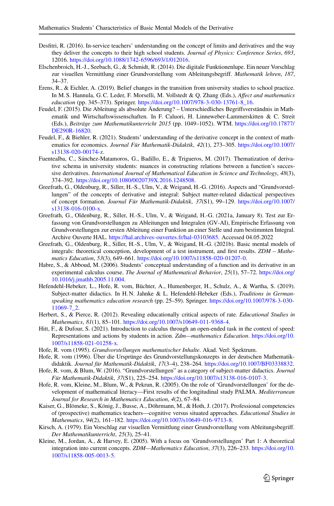- <span id="page-24-8"></span>Desfitri, R. (2016). In-service teachers' understanding on the concept of limits and derivatives and the way they deliver the concepts to their high school students. *Journal of Physics: Conference Series*, *693*, 12016. [https://doi.org/10.1088/1742-6596/693/1/012016.](https://doi.org/10.1088/1742-6596/693/1/012016)
- <span id="page-24-17"></span>Elschenbroich, H.-J., Seebach, G., & Schmidt, R. (2014). Die digitale Funktionenlupe. Ein neuer Vorschlag zur visuellen Vermittlung einer Grundvorstellung vom Ableitungsbegriff. *Mathematik lehren*, *187*, 34–37.
- <span id="page-24-16"></span>Erens, R., & Eichler, A. (2019). Belief changes in the transition from university studies to school practice. In M. S. Hannula, G.C. Leder, F. Morselli, M. Vollstedt & Q. Zhang (Eds.), *Affect and mathematics education* (pp. 345–373). Springer. [https://doi.org/10.1007/978-3-030-13761-8\\_16.](https://doi.org/10.1007/978-3-030-13761-8_16)
- <span id="page-24-15"></span>Feudel, F. (2015). Die Ableitung als absolute Änderung? – Unterschiedliches Begriffsverständnis in Mathematik und Wirtschaftswissenschaften. In F. Caluori, H. Linneweber-Lammerskitten & C. Streit (Eds.), *Beiträge zum Mathematikunterricht 2015* (pp. 1049–1052). WTM. [https://doi.org/10.17877/](https://doi.org/10.17877/DE290R-16820) [DE290R-16820.](https://doi.org/10.17877/DE290R-16820)
- <span id="page-24-10"></span>Feudel, F., & Biehler, R. (2021). Students' understanding of the derivative concept in the context of mathematics for economics. *Journal Für Mathematik-Didaktik*, *42*(1), 273–305. [https://doi.org/10.1007/](https://doi.org/10.1007/s13138-020-00174-z) [s13138-020-00174-z.](https://doi.org/10.1007/s13138-020-00174-z)
- <span id="page-24-7"></span>Fuentealba, C., Sánchez-Matamoros, G., Badillo, E., & Trigueros, M. (2017). Thematization of derivative schema in university students: nuances in constructing relations between a function's successive derivatives. *International Journal of Mathematical Education in Science and Technology*, *48*(3), 374–392. [https://doi.org/10.1080/0020739X.2016.1248508.](https://doi.org/10.1080/0020739X.2016.1248508)
- <span id="page-24-9"></span>Greefrath, G., Oldenburg, R., Siller, H.-S., Ulm, V., & Weigand, H.-G. (2016). Aspects and "Grundvorstellungen" of the concepts of derivative and integral: Subject matter-related didactical perspectives of concept formation. *Journal Für Mathematik-Didaktik*, *37*(S1), 99–129. [https://doi.org/10.1007/](https://doi.org/10.1007/s13138-016-0100-x) [s13138-016-0100-x.](https://doi.org/10.1007/s13138-016-0100-x)
- <span id="page-24-14"></span>Greefrath, G., Oldenburg, R., Siller, H.-S., Ulm, V., & Weigand, H.-G. (2021a, January 8). Test zur Erfassung von Grundvorstellungen zu Ableitungen und Integralen (GV-AI), Empirische Erfassung von Grundvorstellungen zur ersten Ableitung einer Funktion an einer Stelle und zum bestimmten Integral. Archive Ouverte HAL. [https://hal.archives-ouvertes.fr/hal-03103685.](https://hal.archives-ouvertes.fr/hal-03103685) Accessed 04.05.2022
- <span id="page-24-4"></span>Greefrath, G., Oldenburg, R., Siller, H.-S., Ulm, V., & Weigand, H.-G. (2021b). Basic mental models of integrals: theoretical conception, development of a test instrument, and first results. *ZDM – Mathematics Education*, *53*(3), 649–661. [https://doi.org/10.1007/s11858-020-01207-0.](https://doi.org/10.1007/s11858-020-01207-0)
- <span id="page-24-12"></span>Habre, S., & Abboud, M. (2006). Students' conceptual understanding of a function and its derivative in an experimental calculus course. *The Journal of Mathematical Behavior*, *25*(1), 57–72. [https://doi.org/](https://doi.org/10.1016/j.jmathb.2005.11.004) [10.1016/j.jmathb.2005.11.004.](https://doi.org/10.1016/j.jmathb.2005.11.004)
- <span id="page-24-5"></span>Hefendehl-Hebeker, L., Hofe, R. vom, Büchter, A., Humenberger, H., Schulz, A., & Wartha, S. (2019). Subject-matter didactics. In H.N. Jahnke & L. Hefendehl-Hebeker (Eds.), *Traditions in Germanspeaking mathematics education research* (pp. 25–59). Springer. [https://doi.org/10.1007/978-3-030-](https://doi.org/10.1007/978-3-030-11069-7_2) [11069-7\\_2.](https://doi.org/10.1007/978-3-030-11069-7_2)
- <span id="page-24-11"></span>Herbert, S., & Pierce, R. (2012). Revealing educationally critical aspects of rate. *Educational Studies in Mathematics*, *81*(1), 85–101. [https://doi.org/10.1007/s10649-011-9368-4.](https://doi.org/10.1007/s10649-011-9368-4)
- <span id="page-24-19"></span>Hitt, F., & Dufour, S. (2021). Introduction to calculus through an open-ended task in the context of speed: Representations and actions by students in action. *Zdm—mathematics Education*. [https://doi.org/10.](https://doi.org/10.1007/s11858-021-01258-x) [1007/s11858-021-01258-x.](https://doi.org/10.1007/s11858-021-01258-x)
- <span id="page-24-1"></span><span id="page-24-0"></span>Hofe, R. vom (1995). *Grundvorstellungen mathematischer Inhalte*. Akad. Verl: Spektrum.
- Hofe, R. vom (1996). Über die Ursprünge des Grundvorstellungskonzepts in der deutschen Mathematikdidaktik. *Journal für Mathematik-Didaktik*, *17*(3–4), 238–264. [https://doi.org/10.1007/BF03338832.](https://doi.org/10.1007/BF03338832)
- <span id="page-24-2"></span>Hofe, R. vom, & Blum, W. (2016). "Grundvorstellungen" as a category of subject-matter didactics. *Journal Für Mathematik-Didaktik*, *37*(S1), 225–254. [https://doi.org/10.1007/s13138-016-0107-3.](https://doi.org/10.1007/s13138-016-0107-3)
- <span id="page-24-3"></span>Hofe, R. vom, Kleine, M., Blum, W., & Pekrun, R. (2005). On the role of 'Grundvorstellungen' for the development of mathematical literacy—First results of the longitudinal study PALMA. *Mediterranean Journal for Research in Mathematics Education*, *4*(2), 67–84.
- <span id="page-24-18"></span>Kaiser, G., Blömeke, S., König, J., Busse, A., Döhrmann, M., & Hoth, J. (2017). Professional competencies of (prospective) mathematics teachers—cognitive versus situated approaches. *Educational Studies in Mathematics*, *94*(2), 161–182. [https://doi.org/10.1007/s10649-016-9713-8.](https://doi.org/10.1007/s10649-016-9713-8)
- <span id="page-24-13"></span>Kirsch, A. (1979). Ein Vorschlag zur visuellen Vermittlung einer Grundvorstellung vom Ableitungsbegriff. *Der Mathematikunterricht*, *25*(3), 25–41.
- <span id="page-24-6"></span>Kleine, M., Jordan, A., & Harvey, E. (2005). With a focus on 'Grundvorstellungen' Part 1: A theoretical integration into current concepts. *ZDM—Mathematics Education*, *37*(3), 226–233. [https://doi.org/10.](https://doi.org/10.1007/s11858-005-0013-5) [1007/s11858-005-0013-5.](https://doi.org/10.1007/s11858-005-0013-5)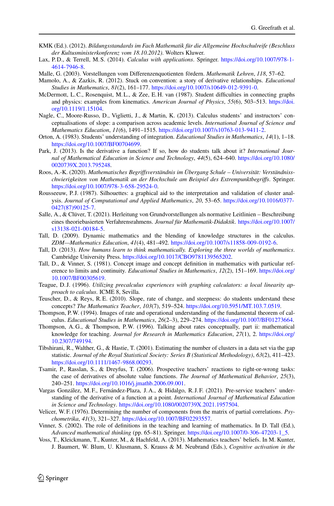- <span id="page-25-19"></span><span id="page-25-13"></span>KMK (Ed.). (2012). *Bildungsstandards im Fach Mathematik für die Allgemeine Hochschulreife (Beschluss der Kultusministerkonferenz vom 18.10.2012)*. Wolters Kluwer.
- Lax, P. D., & Terrell, M. S. (2014). *Calculus with applications*. Springer. [https://doi.org/10.1007/978-1-](https://doi.org/10.1007/978-1-4614-7946-8) [4614-7946-8.](https://doi.org/10.1007/978-1-4614-7946-8)
- <span id="page-25-15"></span><span id="page-25-14"></span>Malle, G. (2003). Vorstellungen vom Differenzenquotienten fördern. *Mathematik Lehren*, *118*, 57–62.
- <span id="page-25-2"></span>Mamolo, A., & Zazkis, R. (2012). Stuck on convention: a story of derivative relationships. *Educational Studies in Mathematics*, *81*(2), 161–177. [https://doi.org/10.1007/s10649-012-9391-0.](https://doi.org/10.1007/s10649-012-9391-0)
- McDermott, L.C., Rosenquist, M. L., & Zee, E. H. van (1987). Student difficulties in connecting graphs and physics: examples from kinematics. *American Journal of Physics*, *55*(6), 503–513. [https://doi.](https://doi.org/10.1119/1.15104) [org/10.1119/1.15104.](https://doi.org/10.1119/1.15104)
- <span id="page-25-7"></span>Nagle, C., Moore-Russo, D., Viglietti, J., & Martin, K. (2013). Calculus students' and instructors' conceptualisations of slope: a comparison across academic levels. *International Journal of Science and Mathematics Education*, *11*(6), 1491–1515. [https://doi.org/10.1007/s10763-013-9411-2.](https://doi.org/10.1007/s10763-013-9411-2)
- <span id="page-25-12"></span><span id="page-25-4"></span>Orton, A. (1983). Students' understanding of integration. *Educational Studies in Mathematics*, *14*(1), 1–18. [https://doi.org/10.1007/BF00704699.](https://doi.org/10.1007/BF00704699)
- Park, J. (2013). Is the derivative a function? If so, how do students talk about it? *International Journal of Mathematical Education in Science and Technology*, *44*(5), 624–640. [https://doi.org/10.1080/](https://doi.org/10.1080/0020739X.2013.795248) [0020739X.2013.795248.](https://doi.org/10.1080/0020739X.2013.795248)
- <span id="page-25-22"></span>Roos, A.-K. (2020). *Mathematisches Begriffsverständnis im Übergang Schule – Universität: Verständnisschwierigkeiten von Mathematik an der Hochschule am Beispiel des Extrempunktbegriffs*. Springer. [https://doi.org/10.1007/978-3-658-29524-0.](https://doi.org/10.1007/978-3-658-29524-0)
- <span id="page-25-18"></span>Rousseeuw, P.J. (1987). Silhouettes: a graphical aid to the interpretation and validation of cluster analysis. *Journal of Computational and Applied Mathematics*, *20*, 53–65. [https://doi.org/10.1016/0377-](https://doi.org/10.1016/0377-0427(87)90125-7) [0427\(87\)90125-7.](https://doi.org/10.1016/0377-0427(87)90125-7)
- <span id="page-25-1"></span>Salle, A., & Clüver, T. (2021). Herleitung von Grundvorstellungen als normative Leitlinien – Beschreibung eines theoriebasierten Verfahrensrahmens. *Journal für Mathematik-Didaktik*. [https://doi.org/10.1007/](https://doi.org/10.1007/s13138-021-00184-5) [s13138-021-00184-5.](https://doi.org/10.1007/s13138-021-00184-5)
- <span id="page-25-10"></span>Tall, D. (2009). Dynamic mathematics and the blending of knowledge structures in the calculus. *ZDM—Mathematics Education*, *41*(4), 481–492. [https://doi.org/10.1007/s11858-009-0192-6.](https://doi.org/10.1007/s11858-009-0192-6)
- <span id="page-25-8"></span><span id="page-25-0"></span>Tall, D. (2013). *How humans learn to think mathematically. Exploring the three worlds of mathematics*. Cambridge University Press. [https://doi.org/10.1017/CBO9781139565202.](https://doi.org/10.1017/CBO9781139565202)
- Tall, D., & Vinner, S. (1981). Concept image and concept definition in mathematics with particular reference to limits and continuity. *Educational Studies in Mathematics*, *12*(2), 151–169. [https://doi.org/](https://doi.org/10.1007/BF00305619) [10.1007/BF00305619.](https://doi.org/10.1007/BF00305619)
- <span id="page-25-11"></span>Teague, D. J. (1996). *Utilizing precalculus experiences with graphing calculators: a local linearity approach to calculus*. ICME 8, Sevilla.
- <span id="page-25-6"></span><span id="page-25-3"></span>Teuscher, D., & Reys, R.E. (2010). Slope, rate of change, and steepness: do students understand these concepts? *The Mathematics Teacher*, *103*(7), 519–524. [https://doi.org/10.5951/MT.103.7.0519.](https://doi.org/10.5951/MT.103.7.0519)
- Thompson, P.W. (1994). Images of rate and operational understanding of the fundamental theorem of calculus. *Educational Studies in Mathematics*, *26*(2–3), 229–274. [https://doi.org/10.1007/BF01273664.](https://doi.org/10.1007/BF01273664)
- <span id="page-25-5"></span>Thompson, A. G., & Thompson, P.W. (1996). Talking about rates conceptually, part ii: mathematical knowledge for teaching. *Journal for Research in Mathematics Education*, *27*(1), 2. [https://doi.org/](https://doi.org/10.2307/749194) [10.2307/749194.](https://doi.org/10.2307/749194)
- <span id="page-25-17"></span>Tibshirani, R., Walther, G., & Hastie, T. (2001). Estimating the number of clusters in a data set via the gap statistic. *Journal of the Royal Statistical Society: Series B (Statistical Methodology)*, *63*(2), 411–423. [https://doi.org/10.1111/1467-9868.00293.](https://doi.org/10.1111/1467-9868.00293)
- <span id="page-25-20"></span>Tsamir, P., Rasslan, S., & Dreyfus, T. (2006). Prospective teachers' reactions to right-or-wrong tasks: the case of derivatives of absolute value functions. *The Journal of Mathematical Behavior*, *25*(3), 240–251. [https://doi.org/10.1016/j.jmathb.2006.09.001.](https://doi.org/10.1016/j.jmathb.2006.09.001)
- <span id="page-25-23"></span>Vargas González, M. F., Fernández-Plaza, J. A., & Hidalgo, R. J. F. (2021). Pre-service teachers' understanding of the derivative of a function at a point. *International Journal of Mathematical Education in Science and Technology*. [https://doi.org/10.1080/0020739X.2021.1957504.](https://doi.org/10.1080/0020739X.2021.1957504)
- <span id="page-25-16"></span>Velicer, W. F. (1976). Determining the number of components from the matrix of partial correlations. *Psychometrika*, *41*(3), 321–327. [https://doi.org/10.1007/BF02293557.](https://doi.org/10.1007/BF02293557)
- <span id="page-25-9"></span>Vinner, S. (2002). The role of definitions in the teaching and learning of mathematics. In D. Tall (Ed.), *Advanced mathematical thinking* (pp. 65–81). Springer. [https://doi.org/10.1007/0-306-47203-1\\_5.](https://doi.org/10.1007/0-306-47203-1_5)
- <span id="page-25-21"></span>Voss, T., Kleickmann, T., Kunter, M., & Hachfeld, A. (2013). Mathematics teachers' beliefs. In M. Kunter, J. Baumert, W. Blum, U. Klusmann, S. Krauss & M. Neubrand (Eds.), *Cognitive activation in the*